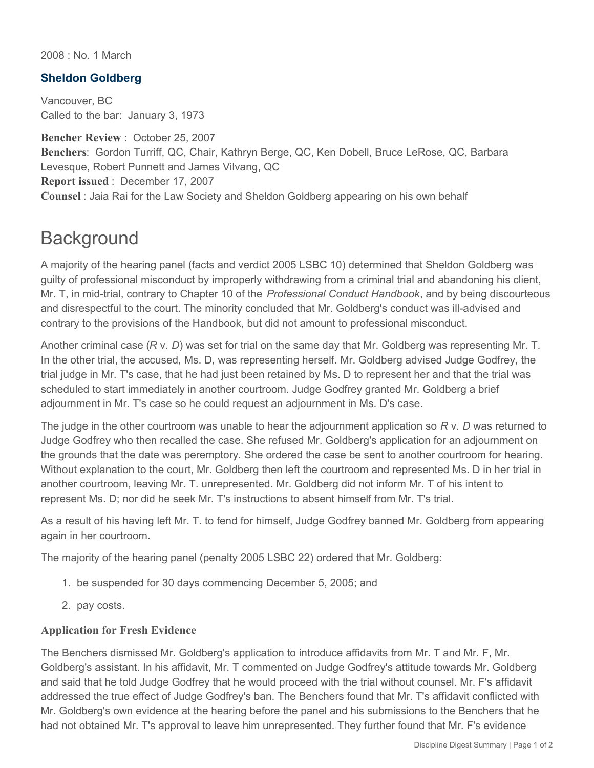2008 : No. 1 March

## **Sheldon Goldberg**

Vancouver, BC Called to the bar: January 3, 1973

**Bencher Review** : October 25, 2007 **Benchers**: Gordon Turriff, QC, Chair, Kathryn Berge, QC, Ken Dobell, Bruce LeRose, QC, Barbara Levesque, Robert Punnett and James Vilvang, QC **Report issued** : December 17, 2007 **Counsel** : Jaia Rai for the Law Society and Sheldon Goldberg appearing on his own behalf

## **Background**

A majority of the hearing panel (facts and verdict 2005 LSBC 10) determined that Sheldon Goldberg was guilty of professional misconduct by improperly withdrawing from a criminal trial and abandoning his client, Mr. T, in mid-trial, contrary to Chapter 10 of the *Professional Conduct Handbook*, and by being discourteous and disrespectful to the court. The minority concluded that Mr. Goldberg's conduct was ill-advised and contrary to the provisions of the Handbook, but did not amount to professional misconduct.

Another criminal case (*R* v. *D*) was set for trial on the same day that Mr. Goldberg was representing Mr. T. In the other trial, the accused, Ms. D, was representing herself. Mr. Goldberg advised Judge Godfrey, the trial judge in Mr. T's case, that he had just been retained by Ms. D to represent her and that the trial was scheduled to start immediately in another courtroom. Judge Godfrey granted Mr. Goldberg a brief adjournment in Mr. T's case so he could request an adjournment in Ms. D's case.

The judge in the other courtroom was unable to hear the adjournment application so *R* v. *D* was returned to Judge Godfrey who then recalled the case. She refused Mr. Goldberg's application for an adjournment on the grounds that the date was peremptory. She ordered the case be sent to another courtroom for hearing. Without explanation to the court, Mr. Goldberg then left the courtroom and represented Ms. D in her trial in another courtroom, leaving Mr. T. unrepresented. Mr. Goldberg did not inform Mr. T of his intent to represent Ms. D; nor did he seek Mr. T's instructions to absent himself from Mr. T's trial.

As a result of his having left Mr. T. to fend for himself, Judge Godfrey banned Mr. Goldberg from appearing again in her courtroom.

The majority of the hearing panel (penalty 2005 LSBC 22) ordered that Mr. Goldberg:

- 1. be suspended for 30 days commencing December 5, 2005; and
- 2. pay costs.

## **Application for Fresh Evidence**

The Benchers dismissed Mr. Goldberg's application to introduce affidavits from Mr. T and Mr. F, Mr. Goldberg's assistant. In his affidavit, Mr. T commented on Judge Godfrey's attitude towards Mr. Goldberg and said that he told Judge Godfrey that he would proceed with the trial without counsel. Mr. F's affidavit addressed the true effect of Judge Godfrey's ban. The Benchers found that Mr. T's affidavit conflicted with Mr. Goldberg's own evidence at the hearing before the panel and his submissions to the Benchers that he had not obtained Mr. T's approval to leave him unrepresented. They further found that Mr. F's evidence